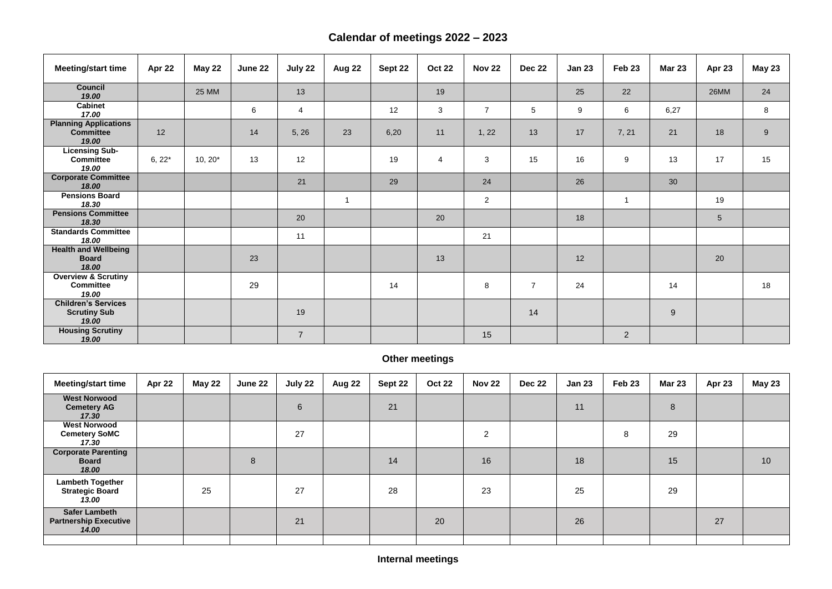## **Calendar of meetings 2022 – 2023**

## **Meeting/start time Apr 22 May 22 June 22 July 22 Aug 22 Sept 22 Oct 22 Nov 22 Dec 22 Jan 23 Feb 23 Mar 23 Apr 23 May 23 Council** *19.00* 25 MM 13 19 <sup>25</sup> <sup>22</sup> 26MM <sup>24</sup> **Cabinet** dabiliet (17.00 and 100 minute to the set of the set of the set of the set of the set of the set of the set of t<br>17.00 and 17.00 and 17.00 and 17.00 and 17.00 and 17.00 and 17.00 and 17.00 and 17.00 and 17.00 and 17.00 and **Planning Applications Committee** *19.00* 12 | | 14 | 5, 26 | 23 | 6,20 | 11 | 1, 22 | 13 | 17 | 7, 21 | 21 | 18 | 9 **Licensing Sub-Committee** *19.00* 6, 22\* | 10, 20\* | 13 | 12 | | 19 | 4 | 3 | 15 | 16 | 9 | 13 | 17 | 15 **Corporate Committee 18.00** 28 29 29 24 24 25 26 26 26 Pensions Board<br>18.30 *18.30* <sup>1</sup> <sup>2</sup> <sup>1</sup> <sup>19</sup> **Pensions Committee** *18.30* <sup>20</sup> <sup>20</sup> <sup>18</sup> <sup>5</sup> **Standards Committee** 18.00 **18.00** 11 11 11 121 **Health and Wellbeing Board** *18.00* 23 | | | | 13 | | | 12 | | | | 20 **Overview & Scrutiny Committee** *19.00*  29 | | | 14 | | | 8 | 7 | 24 | | | 14 | | 18 **Children's Services Scrutiny Sub** *19.00* 19 | | | | | | | 14 | | | | 9 **Housing Scrutiny**  19.00 | | | | 7 | | | | 15 | | | | | 2<br>19.00

## **Other meetings**

| <b>Meeting/start time</b>                                     | Apr 22 | <b>May 22</b> | June 22 | July 22 | Aug 22 | Sept 22 | <b>Oct 22</b> | <b>Nov 22</b>  | <b>Dec 22</b> | <b>Jan 23</b> | Feb <sub>23</sub> | <b>Mar 23</b> | Apr 23 | <b>May 23</b> |
|---------------------------------------------------------------|--------|---------------|---------|---------|--------|---------|---------------|----------------|---------------|---------------|-------------------|---------------|--------|---------------|
| <b>West Norwood</b><br><b>Cemetery AG</b><br>17.30            |        |               |         | 6       |        | 21      |               |                |               | 11            |                   | 8             |        |               |
| <b>West Norwood</b><br><b>Cemetery SoMC</b><br>17.30          |        |               |         | 27      |        |         |               | $\overline{2}$ |               |               | 8                 | 29            |        |               |
| <b>Corporate Parenting</b><br><b>Board</b><br>18.00           |        |               | 8       |         |        | 14      |               | 16             |               | 18            |                   | 15            |        | 10            |
| <b>Lambeth Together</b><br><b>Strategic Board</b><br>13.00    |        | 25            |         | 27      |        | 28      |               | 23             |               | 25            |                   | 29            |        |               |
| <b>Safer Lambeth</b><br><b>Partnership Executive</b><br>14.00 |        |               |         | 21      |        |         | 20            |                |               | 26            |                   |               | 27     |               |
|                                                               |        |               |         |         |        |         |               |                |               |               |                   |               |        |               |

| 23              | <b>Mar 23</b> | Apr 23      | <b>May 23</b> |  |  |  |  |
|-----------------|---------------|-------------|---------------|--|--|--|--|
| $\overline{2}$  |               | 26MM        | 24            |  |  |  |  |
|                 | 6,27          |             | 8             |  |  |  |  |
| $\overline{21}$ | 21            | 18          | 9             |  |  |  |  |
|                 | 13            | 17          | 15            |  |  |  |  |
|                 | 30            |             |               |  |  |  |  |
|                 |               | 19          |               |  |  |  |  |
|                 |               | $\mathbf 5$ |               |  |  |  |  |
|                 |               |             |               |  |  |  |  |
|                 |               | 20          |               |  |  |  |  |
|                 | 14            |             | 18            |  |  |  |  |
|                 | 9             |             |               |  |  |  |  |
|                 |               |             |               |  |  |  |  |